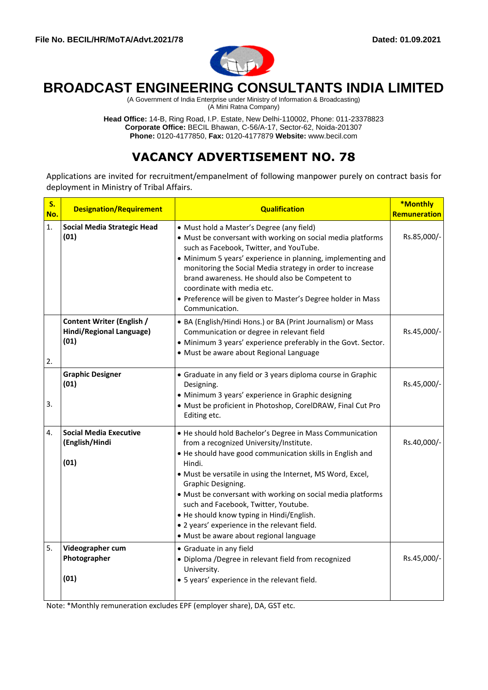

# **BROADCAST ENGINEERING CONSULTANTS INDIA LIMITED**

(A Government of India Enterprise under Ministry of Information & Broadcasting) (A Mini Ratna Company)

**Head Office:** 14-B, Ring Road, I.P. Estate, New Delhi-110002, Phone: 011-23378823 **Corporate Office:** BECIL Bhawan, C-56/A-17, Sector-62, Noida-201307 **Phone:** 0120-4177850, **Fax:** 0120-4177879 **Website:** www.becil.com

# **VACANCY ADVERTISEMENT NO. 78**

Applications are invited for recruitment/empanelment of following manpower purely on contract basis for deployment in Ministry of Tribal Affairs.

| S.<br>No. | <b>Designation/Requirement</b>                                | <b>Qualification</b>                                                                                                                                                                                                                                                                                                                                                                                                                                                                                          | *Monthly<br><b>Remuneration</b> |
|-----------|---------------------------------------------------------------|---------------------------------------------------------------------------------------------------------------------------------------------------------------------------------------------------------------------------------------------------------------------------------------------------------------------------------------------------------------------------------------------------------------------------------------------------------------------------------------------------------------|---------------------------------|
| 1.        | Social Media Strategic Head<br>(01)                           | • Must hold a Master's Degree (any field)<br>• Must be conversant with working on social media platforms<br>such as Facebook, Twitter, and YouTube.<br>• Minimum 5 years' experience in planning, implementing and<br>monitoring the Social Media strategy in order to increase<br>brand awareness. He should also be Competent to<br>coordinate with media etc.<br>• Preference will be given to Master's Degree holder in Mass<br>Communication.                                                            | Rs.85,000/-                     |
| 2.        | Content Writer (English /<br>Hindi/Regional Language)<br>(01) | • BA (English/Hindi Hons.) or BA (Print Journalism) or Mass<br>Communication or degree in relevant field<br>• Minimum 3 years' experience preferably in the Govt. Sector.<br>· Must be aware about Regional Language                                                                                                                                                                                                                                                                                          | Rs.45,000/-                     |
| 3.        | <b>Graphic Designer</b><br>(01)                               | • Graduate in any field or 3 years diploma course in Graphic<br>Designing.<br>· Minimum 3 years' experience in Graphic designing<br>· Must be proficient in Photoshop, CorelDRAW, Final Cut Pro<br>Editing etc.                                                                                                                                                                                                                                                                                               | Rs.45,000/-                     |
| 4.        | <b>Social Media Executive</b><br>(English/Hindi<br>(01)       | • He should hold Bachelor's Degree in Mass Communication<br>from a recognized University/Institute.<br>. He should have good communication skills in English and<br>Hindi.<br>. Must be versatile in using the Internet, MS Word, Excel,<br>Graphic Designing.<br>• Must be conversant with working on social media platforms<br>such and Facebook, Twitter, Youtube.<br>. He should know typing in Hindi/English.<br>. 2 years' experience in the relevant field.<br>· Must be aware about regional language | Rs.40,000/-                     |
| 5.        | Videographer cum<br>Photographer<br>(01)                      | • Graduate in any field<br>· Diploma /Degree in relevant field from recognized<br>University.<br>• 5 years' experience in the relevant field.                                                                                                                                                                                                                                                                                                                                                                 | Rs.45,000/-                     |

Note: \*Monthly remuneration excludes EPF (employer share), DA, GST etc.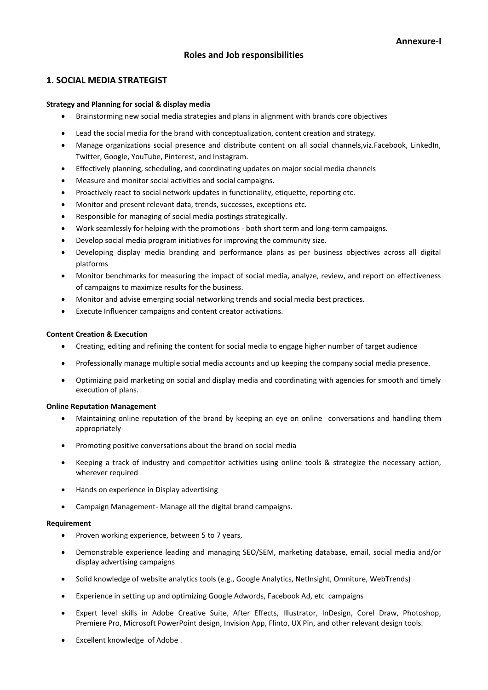# **Roles and Job responsibilities**

# **1. SOCIAL MEDIA STRATEGIST**

#### **Strategy and Planning for social & display media**

- Brainstorming new social media strategies and plans in alignment with brands core objectives
- Lead the social media for the brand with conceptualization, content creation and strategy.
- Manage organizations social presence and distribute content on all social channels,viz.Facebook, LinkedIn, Twitter, Google, YouTube, Pinterest, and Instagram.
- Effectively planning, scheduling, and coordinating updates on major social media channels
- Measure and monitor social activities and social campaigns.
- Proactively react to social network updates in functionality, etiquette, reporting etc.
- Monitor and present relevant data, trends, successes, exceptions etc.
- Responsible for managing of social media postings strategically.
- Work seamlessly for helping with the promotions both short term and long-term campaigns.
- Develop social media program initiatives for improving the community size.
- Developing display media branding and performance plans as per business objectives across all digital platforms
- Monitor benchmarks for measuring the impact of social media, analyze, review, and report on effectiveness of campaigns to maximize results for the business.
- Monitor and advise emerging social networking trends and social media best practices.
- Execute Influencer campaigns and content creator activations.

#### **Content Creation & Execution**

- Creating, editing and refining the content for social media to engage higher number of target audience
- Professionally manage multiple social media accounts and up keeping the company social media presence.
- Optimizing paid marketing on social and display media and coordinating with agencies for smooth and timely execution of plans.

#### **Online Reputation Management**

- Maintaining online reputation of the brand by keeping an eye on online conversations and handling them appropriately
- Promoting positive conversations about the brand on social media
- Keeping a track of industry and competitor activities using online tools & strategize the necessary action, wherever required
- Hands on experience in Display advertising
- Campaign Management- Manage all the digital brand campaigns.

#### **Requirement**

- Proven working experience, between 5 to 7 years,
- Demonstrable experience leading and managing SEO/SEM, marketing database, email, social media and/or display advertising campaigns
- Solid knowledge of website analytics tools (e.g., Google Analytics, NetInsight, Omniture, WebTrends)
- Experience in setting up and optimizing Google Adwords, Facebook Ad, etc campaigns
- Expert level skills in Adobe Creative Suite, After Effects, Illustrator, InDesign, Corel Draw, Photoshop, Premiere Pro, Microsoft PowerPoint design, Invision App, Flinto, UX Pin, and other relevant design tools.
- Excellent knowledge of Adobe .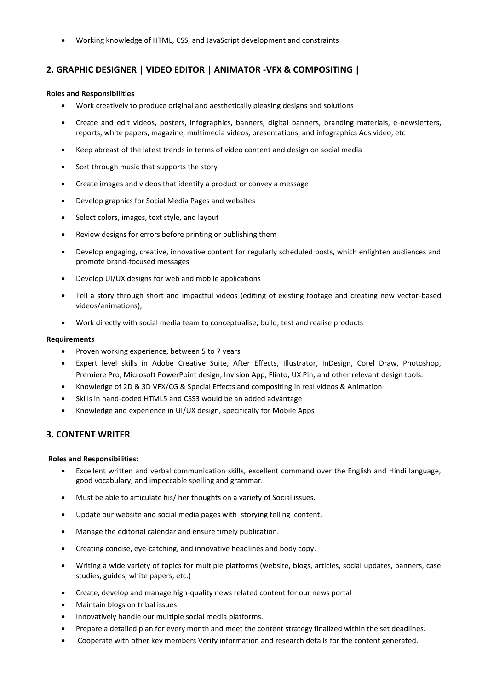Working knowledge of HTML, CSS, and JavaScript development and constraints

# **2. GRAPHIC DESIGNER | VIDEO EDITOR | ANIMATOR -VFX & COMPOSITING |**

#### **Roles and Responsibilities**

- Work creatively to produce original and aesthetically pleasing designs and solutions
- Create and edit videos, posters, infographics, banners, digital banners, branding materials, e-newsletters, reports, white papers, magazine, multimedia videos, presentations, and infographics Ads video, etc
- Keep abreast of the latest trends in terms of video content and design on social media
- Sort through music that supports the story
- Create images and videos that identify a product or convey a message
- Develop graphics for Social Media Pages and websites
- Select colors, images, text style, and layout
- Review designs for errors before printing or publishing them
- Develop engaging, creative, innovative content for regularly scheduled posts, which enlighten audiences and promote brand-focused messages
- Develop UI/UX designs for web and mobile applications
- Tell a story through short and impactful videos (editing of existing footage and creating new vector-based videos/animations),
- Work directly with social media team to conceptualise, build, test and realise products

#### **Requirements**

- Proven working experience, between 5 to 7 years
- Expert level skills in Adobe Creative Suite, After Effects, Illustrator, InDesign, Corel Draw, Photoshop, Premiere Pro, Microsoft PowerPoint design, Invision App, Flinto, UX Pin, and other relevant design tools.
- Knowledge of 2D & 3D VFX/CG & Special Effects and compositing in real videos & Animation
- Skills in hand-coded HTML5 and CSS3 would be an added advantage
- Knowledge and experience in UI/UX design, specifically for Mobile Apps

## **3. CONTENT WRITER**

#### **Roles and Responsibilities:**

- Excellent written and verbal communication skills, excellent command over the English and Hindi language, good vocabulary, and impeccable spelling and grammar.
- Must be able to articulate his/ her thoughts on a variety of Social issues.
- Update our website and social media pages with storying telling content.
- Manage the editorial calendar and ensure timely publication.
- Creating concise, eye-catching, and innovative headlines and body copy.
- Writing a wide variety of topics for multiple platforms (website, blogs, articles, social updates, banners, case studies, guides, white papers, etc.)
- Create, develop and manage high-quality news related content for our news portal
- Maintain blogs on tribal issues
- Innovatively handle our multiple social media platforms.
- Prepare a detailed plan for every month and meet the content strategy finalized within the set deadlines.
- Cooperate with other key members Verify information and research details for the content generated.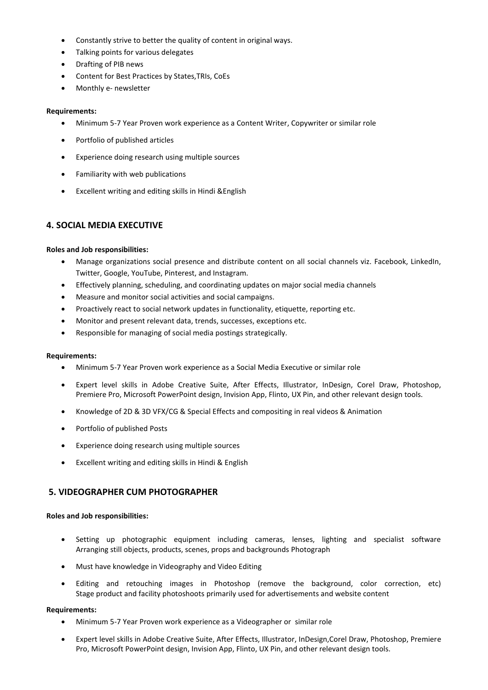- Constantly strive to better the quality of content in original ways.
- Talking points for various delegates
- Drafting of PIB news
- Content for Best Practices by States,TRIs, CoEs
- Monthly e- newsletter

#### **Requirements:**

- Minimum 5-7 Year Proven work experience as a Content Writer, Copywriter or similar role
- Portfolio of published articles
- Experience doing research using multiple sources
- Familiarity with web publications
- Excellent writing and editing skills in Hindi &English

# **4. SOCIAL MEDIA EXECUTIVE**

#### **Roles and Job responsibilities:**

- Manage organizations social presence and distribute content on all social channels viz. Facebook, LinkedIn, Twitter, Google, YouTube, Pinterest, and Instagram.
- Effectively planning, scheduling, and coordinating updates on major social media channels
- Measure and monitor social activities and social campaigns.
- Proactively react to social network updates in functionality, etiquette, reporting etc.
- Monitor and present relevant data, trends, successes, exceptions etc.
- Responsible for managing of social media postings strategically.

#### **Requirements:**

- Minimum 5-7 Year Proven work experience as a Social Media Executive or similar role
- Expert level skills in Adobe Creative Suite, After Effects, Illustrator, InDesign, Corel Draw, Photoshop, Premiere Pro, Microsoft PowerPoint design, Invision App, Flinto, UX Pin, and other relevant design tools.
- Knowledge of 2D & 3D VFX/CG & Special Effects and compositing in real videos & Animation
- Portfolio of published Posts
- Experience doing research using multiple sources
- Excellent writing and editing skills in Hindi & English

## **5. VIDEOGRAPHER CUM PHOTOGRAPHER**

#### **Roles and Job responsibilities:**

- Setting up photographic equipment including cameras, lenses, lighting and specialist software Arranging still objects, products, scenes, props and backgrounds Photograph
- Must have knowledge in Videography and Video Editing
- Editing and retouching images in Photoshop (remove the background, color correction, etc) Stage product and facility photoshoots primarily used for advertisements and website content

#### **Requirements:**

- Minimum 5-7 Year Proven work experience as a Videographer or similar role
- Expert level skills in Adobe Creative Suite, After Effects, Illustrator, InDesign,Corel Draw, Photoshop, Premiere Pro, Microsoft PowerPoint design, Invision App, Flinto, UX Pin, and other relevant design tools.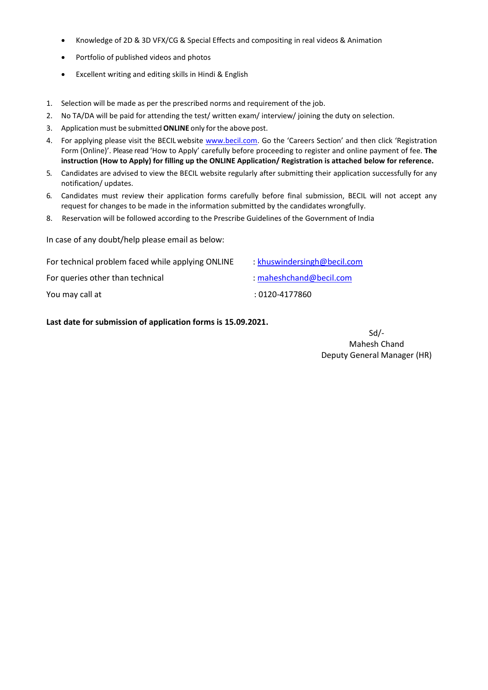- Knowledge of 2D & 3D VFX/CG & Special Effects and compositing in real videos & Animation
- Portfolio of published videos and photos
- Excellent writing and editing skills in Hindi & English
- 1. Selection will be made as per the prescribed norms and requirement of the job.
- 2. No TA/DA will be paid for attending the test/ written exam/ interview/ joining the duty on selection.
- 3. Application must be submitted**ONLINE** only forthe above post.
- 4. For applying please visit the BECIL website [www.becil.com.](http://www.becil.com/) Go the 'Careers Section' and then click 'Registration Form (Online)'. Please read 'How to Apply' carefully before proceeding to register and online payment of fee. **The instruction (How to Apply) for filling up the ONLINE Application/ Registration is attached below for reference.**
- 5. Candidates are advised to view the BECIL website regularly after submitting their application successfully for any notification/ updates.
- 6. Candidates must review their application forms carefully before final submission, BECIL will not accept any request for changes to be made in the information submitted by the candidates wrongfully.
- 8. Reservation will be followed according to the Prescribe Guidelines of the Government of India

In case of any doubt/help please email as below:

| For technical problem faced while applying ONLINE | : khuswindersingh@becil.com |
|---------------------------------------------------|-----------------------------|
| For queries other than technical                  | : maheshchand@becil.com     |
| You may call at                                   | : 0120-4177860              |

**Last date for submission of application forms is 15.09.2021.**

Sd/- Mahesh Chand Deputy General Manager (HR)